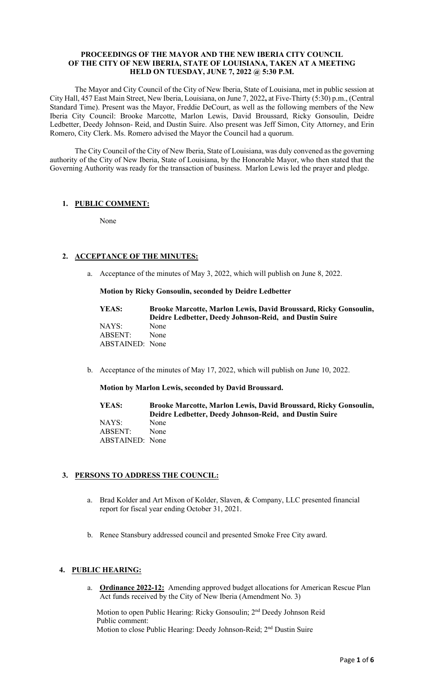### **PROCEEDINGS OF THE MAYOR AND THE NEW IBERIA CITY COUNCIL OF THE CITY OF NEW IBERIA, STATE OF LOUISIANA, TAKEN AT A MEETING HELD ON TUESDAY, JUNE 7, 2022 @ 5:30 P.M.**

The Mayor and City Council of the City of New Iberia, State of Louisiana, met in public session at City Hall, 457 East Main Street, New Iberia, Louisiana, on June 7, 2022**,** at Five-Thirty (5:30) p.m., (Central Standard Time). Present was the Mayor, Freddie DeCourt, as well as the following members of the New Iberia City Council: Brooke Marcotte, Marlon Lewis, David Broussard, Ricky Gonsoulin, Deidre Ledbetter, Deedy Johnson- Reid, and Dustin Suire. Also present was Jeff Simon, City Attorney, and Erin Romero, City Clerk. Ms. Romero advised the Mayor the Council had a quorum.

The City Council of the City of New Iberia, State of Louisiana, was duly convened as the governing authority of the City of New Iberia, State of Louisiana, by the Honorable Mayor, who then stated that the Governing Authority was ready for the transaction of business. Marlon Lewis led the prayer and pledge.

## **1. PUBLIC COMMENT:**

None

# **2. ACCEPTANCE OF THE MINUTES:**

a. Acceptance of the minutes of May 3, 2022, which will publish on June 8, 2022.

### **Motion by Ricky Gonsoulin, seconded by Deidre Ledbetter**

| YEAS:           | Brooke Marcotte, Marlon Lewis, David Broussard, Ricky Gonsoulin, |
|-----------------|------------------------------------------------------------------|
|                 | Deidre Ledbetter, Deedy Johnson-Reid, and Dustin Suire           |
| NAYS:           | None                                                             |
| ABSENT:         | None                                                             |
| ABSTAINED: None |                                                                  |

b. Acceptance of the minutes of May 17, 2022, which will publish on June 10, 2022.

### **Motion by Marlon Lewis, seconded by David Broussard.**

**YEAS: Brooke Marcotte, Marlon Lewis, David Broussard, Ricky Gonsoulin, Deidre Ledbetter, Deedy Johnson-Reid, and Dustin Suire** NAYS: None ABSENT: None ABSTAINED: None

### **3. PERSONS TO ADDRESS THE COUNCIL:**

- a. Brad Kolder and Art Mixon of Kolder, Slaven, & Company, LLC presented financial report for fiscal year ending October 31, 2021.
- b. Renee Stansbury addressed council and presented Smoke Free City award.

# **4. PUBLIC HEARING:**

a. **Ordinance 2022-12:** Amending approved budget allocations for American Rescue Plan Act funds received by the City of New Iberia (Amendment No. 3)

Motion to open Public Hearing: Ricky Gonsoulin; 2<sup>nd</sup> Deedy Johnson Reid Public comment: Motion to close Public Hearing: Deedy Johnson-Reid; 2nd Dustin Suire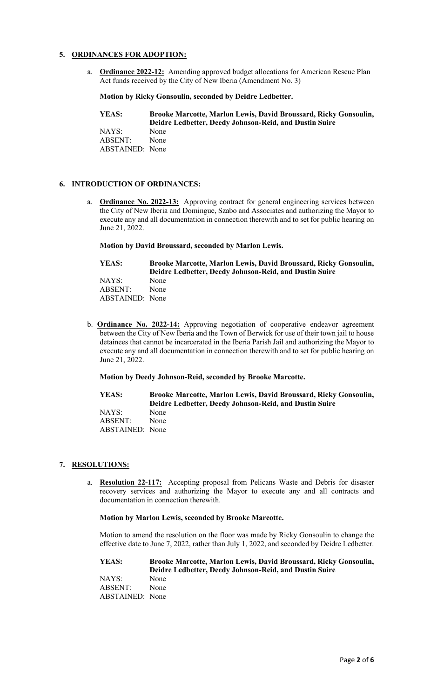# **5. ORDINANCES FOR ADOPTION:**

a. **Ordinance 2022-12:** Amending approved budget allocations for American Rescue Plan Act funds received by the City of New Iberia (Amendment No. 3)

**Motion by Ricky Gonsoulin, seconded by Deidre Ledbetter.**

| YEAS:           | Brooke Marcotte, Marlon Lewis, David Broussard, Ricky Gonsoulin,<br>Deidre Ledbetter, Deedy Johnson-Reid, and Dustin Suire |
|-----------------|----------------------------------------------------------------------------------------------------------------------------|
| NAYS:           | None                                                                                                                       |
| ABSENT:         | None                                                                                                                       |
| ABSTAINED: None |                                                                                                                            |

## **6. INTRODUCTION OF ORDINANCES:**

a. **Ordinance No. 2022-13:** Approving contract for general engineering services between the City of New Iberia and Domingue, Szabo and Associates and authorizing the Mayor to execute any and all documentation in connection therewith and to set for public hearing on June 21, 2022.

**Motion by David Broussard, seconded by Marlon Lewis.**

| YEAS:           | Brooke Marcotte, Marlon Lewis, David Broussard, Ricky Gonsoulin,<br>Deidre Ledbetter, Deedy Johnson-Reid, and Dustin Suire |
|-----------------|----------------------------------------------------------------------------------------------------------------------------|
| NAYS:           | None                                                                                                                       |
| ABSENT:         | None                                                                                                                       |
| ABSTAINED: None |                                                                                                                            |

b. **Ordinance No. 2022-14:** Approving negotiation of cooperative endeavor agreement between the City of New Iberia and the Town of Berwick for use of their town jail to house detainees that cannot be incarcerated in the Iberia Parish Jail and authorizing the Mayor to execute any and all documentation in connection therewith and to set for public hearing on June 21, 2022.

**Motion by Deedy Johnson-Reid, seconded by Brooke Marcotte.**

**YEAS: Brooke Marcotte, Marlon Lewis, David Broussard, Ricky Gonsoulin, Deidre Ledbetter, Deedy Johnson-Reid, and Dustin Suire** NAYS: None ABSENT: None ABSTAINED: None

### **7. RESOLUTIONS:**

a. **Resolution 22-117:** Accepting proposal from Pelicans Waste and Debris for disaster recovery services and authorizing the Mayor to execute any and all contracts and documentation in connection therewith.

**Motion by Marlon Lewis, seconded by Brooke Marcotte.**

Motion to amend the resolution on the floor was made by Ricky Gonsoulin to change the effective date to June 7, 2022, rather than July 1, 2022, and seconded by Deidre Ledbetter.

**YEAS: Brooke Marcotte, Marlon Lewis, David Broussard, Ricky Gonsoulin, Deidre Ledbetter, Deedy Johnson-Reid, and Dustin Suire** NAYS: None ABSENT: None ABSTAINED: None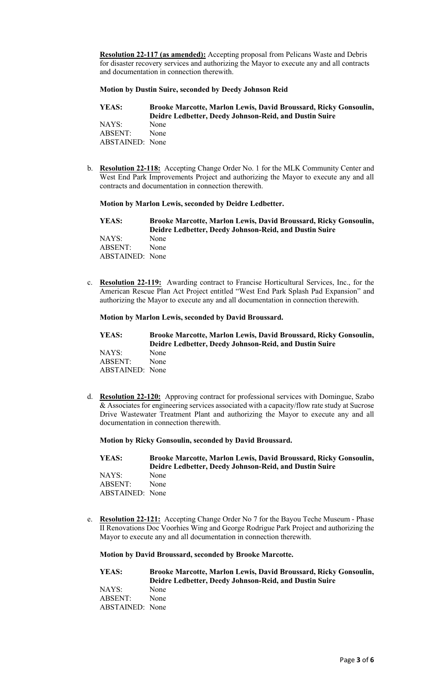**Resolution 22-117 (as amended):** Accepting proposal from Pelicans Waste and Debris for disaster recovery services and authorizing the Mayor to execute any and all contracts and documentation in connection therewith.

### **Motion by Dustin Suire, seconded by Deedy Johnson Reid**

**YEAS: Brooke Marcotte, Marlon Lewis, David Broussard, Ricky Gonsoulin, Deidre Ledbetter, Deedy Johnson-Reid, and Dustin Suire** NAYS: ABSENT: None ABSTAINED: None

b. **Resolution 22-118:** Accepting Change Order No. 1 for the MLK Community Center and West End Park Improvements Project and authorizing the Mayor to execute any and all contracts and documentation in connection therewith.

#### **Motion by Marlon Lewis, seconded by Deidre Ledbetter.**

| YEAS:                                               | Brooke Marcotte, Marlon Lewis, David Broussard, Ricky Gonsoulin,<br>Deidre Ledbetter, Deedy Johnson-Reid, and Dustin Suire |
|-----------------------------------------------------|----------------------------------------------------------------------------------------------------------------------------|
| NAYS:<br>None<br>ABSENT:<br>None<br>ABSTAINED: None |                                                                                                                            |

c. **Resolution 22-119:** Awarding contract to Francise Horticultural Services, Inc., for the American Rescue Plan Act Project entitled "West End Park Splash Pad Expansion" and authorizing the Mayor to execute any and all documentation in connection therewith.

### **Motion by Marlon Lewis, seconded by David Broussard.**

| YEAS:           | <b>Brooke Marcotte, Marlon Lewis, David Broussard, Ricky Gonsoulin,</b><br>Deidre Ledbetter, Deedy Johnson-Reid, and Dustin Suire |
|-----------------|-----------------------------------------------------------------------------------------------------------------------------------|
| NAYS:           | None                                                                                                                              |
| ABSENT:         | None                                                                                                                              |
| ABSTAINED: None |                                                                                                                                   |

d. **Resolution 22-120:** Approving contract for professional services with Domingue, Szabo & Associates for engineering services associated with a capacity/flow rate study at Sucrose Drive Wastewater Treatment Plant and authorizing the Mayor to execute any and all documentation in connection therewith.

#### **Motion by Ricky Gonsoulin, seconded by David Broussard.**

**YEAS: Brooke Marcotte, Marlon Lewis, David Broussard, Ricky Gonsoulin, Deidre Ledbetter, Deedy Johnson-Reid, and Dustin Suire** NAYS: None ABSENT: None ABSTAINED: None

e. **Resolution 22-121:** Accepting Change Order No 7 for the Bayou Teche Museum - Phase II Renovations Doc Voorhies Wing and George Rodrigue Park Project and authorizing the Mayor to execute any and all documentation in connection therewith.

## **Motion by David Broussard, seconded by Brooke Marcotte.**

| YEAS:           | Brooke Marcotte, Marlon Lewis, David Broussard, Ricky Gonsoulin, |
|-----------------|------------------------------------------------------------------|
|                 | Deidre Ledbetter, Deedy Johnson-Reid, and Dustin Suire           |
| NAYS:           | None                                                             |
| ABSENT:         | None                                                             |
| ABSTAINED: None |                                                                  |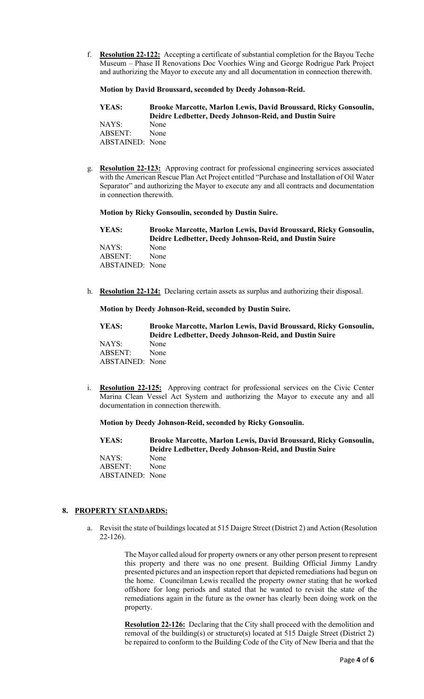f. **Resolution 22-122:** Accepting a certificate of substantial completion for the Bayou Teche Museum – Phase II Renovations Doc Voorhies Wing and George Rodrigue Park Project and authorizing the Mayor to execute any and all documentation in connection therewith.

**Motion by David Broussard, seconded by Deedy Johnson-Reid.**

**YEAS: Brooke Marcotte, Marlon Lewis, David Broussard, Ricky Gonsoulin, Deidre Ledbetter, Deedy Johnson-Reid, and Dustin Suire** NAYS: None ABSENT: None ABSTAINED: None

g. **Resolution 22-123:** Approving contract for professional engineering services associated with the American Rescue Plan Act Project entitled "Purchase and Installation of Oil Water Separator" and authorizing the Mayor to execute any and all contracts and documentation in connection therewith.

**Motion by Ricky Gonsoulin, seconded by Dustin Suire.**

| YEAS:           | <b>Brooke Marcotte, Marlon Lewis, David Broussard, Ricky Gonsoulin,</b><br>Deidre Ledbetter, Deedy Johnson-Reid, and Dustin Suire |
|-----------------|-----------------------------------------------------------------------------------------------------------------------------------|
| NAYS:           | None                                                                                                                              |
| ABSENT:         | None                                                                                                                              |
| ABSTAINED: None |                                                                                                                                   |

h. **Resolution 22-124:** Declaring certain assets as surplus and authorizing their disposal.

**Motion by Deedy Johnson-Reid, seconded by Dustin Suire.**

| YEAS:                  | Brooke Marcotte, Marlon Lewis, David Broussard, Ricky Gonsoulin, |
|------------------------|------------------------------------------------------------------|
|                        | Deidre Ledbetter, Deedy Johnson-Reid, and Dustin Suire           |
| NAYS:                  | None                                                             |
| ABSENT:                | None                                                             |
| <b>ABSTAINED:</b> None |                                                                  |

i. **Resolution 22-125:** Approving contract for professional services on the Civic Center Marina Clean Vessel Act System and authorizing the Mayor to execute any and all documentation in connection therewith.

**Motion by Deedy Johnson-Reid, seconded by Ricky Gonsoulin.**

**YEAS: Brooke Marcotte, Marlon Lewis, David Broussard, Ricky Gonsoulin, Deidre Ledbetter, Deedy Johnson-Reid, and Dustin Suire** NAYS: None ABSENT: None ABSTAINED: None

### **8. PROPERTY STANDARDS:**

a. Revisit the state of buildings located at 515 Daigre Street (District 2) and Action (Resolution 22-126).

> The Mayor called aloud for property owners or any other person present to represent this property and there was no one present. Building Official Jimmy Landry presented pictures and an inspection report that depicted remediations had begun on the home. Councilman Lewis recalled the property owner stating that he worked offshore for long periods and stated that he wanted to revisit the state of the remediations again in the future as the owner has clearly been doing work on the property.

**Resolution 22-126:** Declaring that the City shall proceed with the demolition and removal of the building(s) or structure(s) located at 515 Daigle Street (District 2) be repaired to conform to the Building Code of the City of New Iberia and that the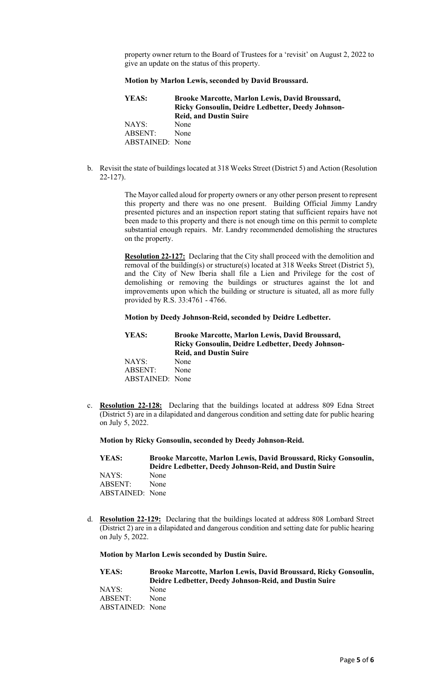property owner return to the Board of Trustees for a 'revisit' on August 2, 2022 to give an update on the status of this property.

#### **Motion by Marlon Lewis, seconded by David Broussard.**

| YEAS:           | <b>Brooke Marcotte, Marlon Lewis, David Broussard,</b><br><b>Ricky Gonsoulin, Deidre Ledbetter, Deedy Johnson-</b><br><b>Reid, and Dustin Suire</b> |
|-----------------|-----------------------------------------------------------------------------------------------------------------------------------------------------|
| NAYS:           | None                                                                                                                                                |
| ABSENT:         | None                                                                                                                                                |
| ABSTAINED: None |                                                                                                                                                     |

b. Revisit the state of buildings located at 318 Weeks Street (District 5) and Action (Resolution 22-127).

> The Mayor called aloud for property owners or any other person present to represent this property and there was no one present. Building Official Jimmy Landry presented pictures and an inspection report stating that sufficient repairs have not been made to this property and there is not enough time on this permit to complete substantial enough repairs. Mr. Landry recommended demolishing the structures on the property.

> **Resolution 22-127:** Declaring that the City shall proceed with the demolition and removal of the building(s) or structure(s) located at 318 Weeks Street (District 5), and the City of New Iberia shall file a Lien and Privilege for the cost of demolishing or removing the buildings or structures against the lot and improvements upon which the building or structure is situated, all as more fully provided by R.S. 33:4761 - 4766.

#### **Motion by Deedy Johnson-Reid, seconded by Deidre Ledbetter.**

| YEAS:           | Brooke Marcotte, Marlon Lewis, David Broussard,          |
|-----------------|----------------------------------------------------------|
|                 | <b>Ricky Gonsoulin, Deidre Ledbetter, Deedy Johnson-</b> |
|                 | <b>Reid, and Dustin Suire</b>                            |
| NAYS:           | None                                                     |
| ABSENT:         | None                                                     |
| ABSTAINED: None |                                                          |

c. **Resolution 22-128:** Declaring that the buildings located at address 809 Edna Street (District 5) are in a dilapidated and dangerous condition and setting date for public hearing on July 5, 2022.

**Motion by Ricky Gonsoulin, seconded by Deedy Johnson-Reid.**

**YEAS: Brooke Marcotte, Marlon Lewis, David Broussard, Ricky Gonsoulin, Deidre Ledbetter, Deedy Johnson-Reid, and Dustin Suire** NAYS: None ABSENT: None ABSTAINED: None

d. **Resolution 22-129:** Declaring that the buildings located at address 808 Lombard Street (District 2) are in a dilapidated and dangerous condition and setting date for public hearing on July 5, 2022.

#### **Motion by Marlon Lewis seconded by Dustin Suire.**

| YEAS:           | Brooke Marcotte, Marlon Lewis, David Broussard, Ricky Gonsoulin, |
|-----------------|------------------------------------------------------------------|
|                 | Deidre Ledbetter, Deedy Johnson-Reid, and Dustin Suire           |
| NAYS:           | None                                                             |
| ABSENT:         | None                                                             |
| ABSTAINED: None |                                                                  |